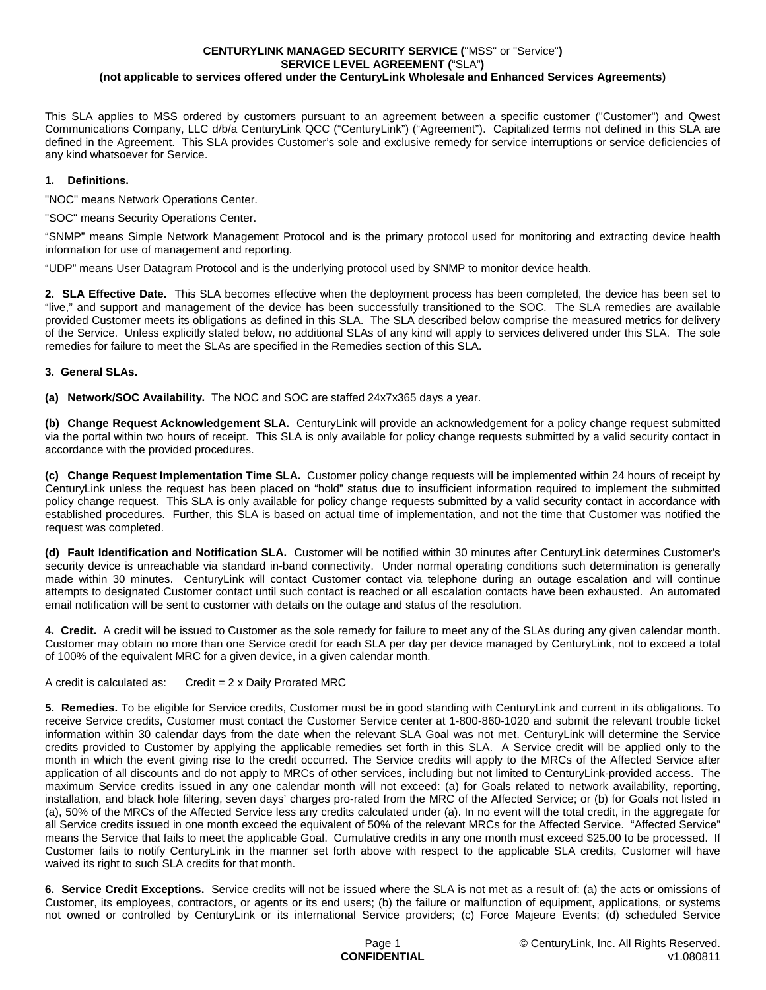## **CENTURYLINK MANAGED SECURITY SERVICE (**"MSS" or "Service"**) SERVICE LEVEL AGREEMENT (**"SLA"**) (not applicable to services offered under the CenturyLink Wholesale and Enhanced Services Agreements)**

This SLA applies to MSS ordered by customers pursuant to an agreement between a specific customer ("Customer") and Qwest Communications Company, LLC d/b/a CenturyLink QCC ("CenturyLink") ("Agreement"). Capitalized terms not defined in this SLA are defined in the Agreement. This SLA provides Customer's sole and exclusive remedy for service interruptions or service deficiencies of any kind whatsoever for Service.

## **1. Definitions.**

"NOC" means Network Operations Center.

"SOC" means Security Operations Center.

"SNMP" means Simple Network Management Protocol and is the primary protocol used for monitoring and extracting device health information for use of management and reporting.

"UDP" means User Datagram Protocol and is the underlying protocol used by SNMP to monitor device health.

**2. SLA Effective Date.** This SLA becomes effective when the deployment process has been completed, the device has been set to "live," and support and management of the device has been successfully transitioned to the SOC. The SLA remedies are available provided Customer meets its obligations as defined in this SLA. The SLA described below comprise the measured metrics for delivery of the Service. Unless explicitly stated below, no additional SLAs of any kind will apply to services delivered under this SLA. The sole remedies for failure to meet the SLAs are specified in the Remedies section of this SLA.

## **3. General SLAs.**

**(a) Network/SOC Availability.** The NOC and SOC are staffed 24x7x365 days a year.

**(b) Change Request Acknowledgement SLA.** CenturyLink will provide an acknowledgement for a policy change request submitted via the portal within two hours of receipt. This SLA is only available for policy change requests submitted by a valid security contact in accordance with the provided procedures.

**(c) Change Request Implementation Time SLA.** Customer policy change requests will be implemented within 24 hours of receipt by CenturyLink unless the request has been placed on "hold" status due to insufficient information required to implement the submitted policy change request. This SLA is only available for policy change requests submitted by a valid security contact in accordance with established procedures. Further, this SLA is based on actual time of implementation, and not the time that Customer was notified the request was completed.

**(d) Fault Identification and Notification SLA.** Customer will be notified within 30 minutes after CenturyLink determines Customer's security device is unreachable via standard in-band connectivity. Under normal operating conditions such determination is generally made within 30 minutes. CenturyLink will contact Customer contact via telephone during an outage escalation and will continue attempts to designated Customer contact until such contact is reached or all escalation contacts have been exhausted. An automated email notification will be sent to customer with details on the outage and status of the resolution.

**4. Credit.** A credit will be issued to Customer as the sole remedy for failure to meet any of the SLAs during any given calendar month. Customer may obtain no more than one Service credit for each SLA per day per device managed by CenturyLink, not to exceed a total of 100% of the equivalent MRC for a given device, in a given calendar month.

A credit is calculated as: Credit = 2 x Daily Prorated MRC

**5. Remedies.** To be eligible for Service credits, Customer must be in good standing with CenturyLink and current in its obligations. To receive Service credits, Customer must contact the Customer Service center at 1-800-860-1020 and submit the relevant trouble ticket information within 30 calendar days from the date when the relevant SLA Goal was not met. CenturyLink will determine the Service credits provided to Customer by applying the applicable remedies set forth in this SLA. A Service credit will be applied only to the month in which the event giving rise to the credit occurred. The Service credits will apply to the MRCs of the Affected Service after application of all discounts and do not apply to MRCs of other services, including but not limited to CenturyLink-provided access. The maximum Service credits issued in any one calendar month will not exceed: (a) for Goals related to network availability, reporting, installation, and black hole filtering, seven days' charges pro-rated from the MRC of the Affected Service; or (b) for Goals not listed in (a), 50% of the MRCs of the Affected Service less any credits calculated under (a). In no event will the total credit, in the aggregate for all Service credits issued in one month exceed the equivalent of 50% of the relevant MRCs for the Affected Service. "Affected Service" means the Service that fails to meet the applicable Goal. Cumulative credits in any one month must exceed \$25.00 to be processed. If Customer fails to notify CenturyLink in the manner set forth above with respect to the applicable SLA credits, Customer will have waived its right to such SLA credits for that month.

**6. Service Credit Exceptions.** Service credits will not be issued where the SLA is not met as a result of: (a) the acts or omissions of Customer, its employees, contractors, or agents or its end users; (b) the failure or malfunction of equipment, applications, or systems not owned or controlled by CenturyLink or its international Service providers; (c) Force Majeure Events; (d) scheduled Service